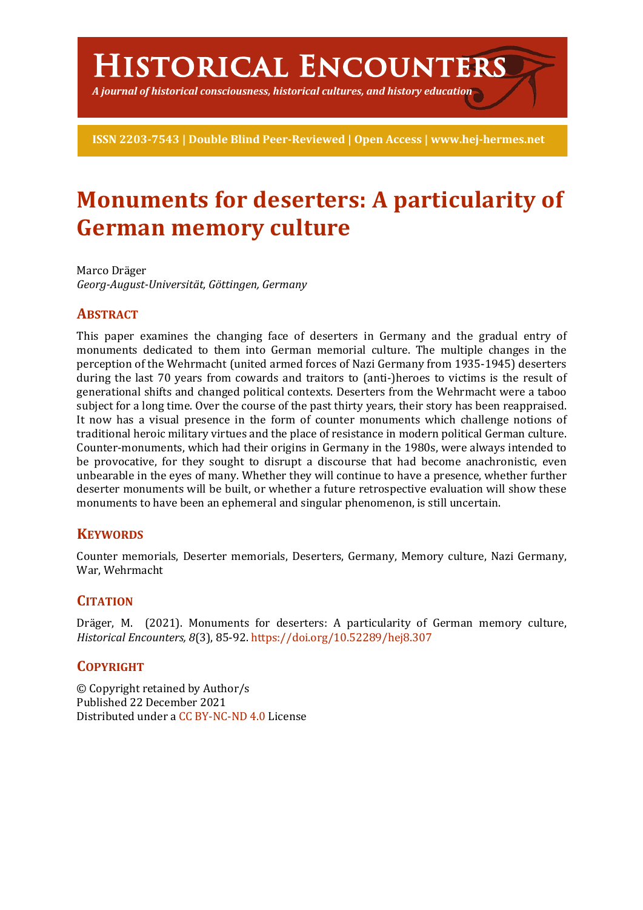# **Historical Encounters**

*A journal of historical consciousness, historical cultures, and history education*

**ISSN 2203-7543 | Double Blind Peer-Reviewed | Open Access | www.hej-hermes.net**

# **Monuments for deserters: A particularity of German memory culture**

Marco Dräger *Georg-August-Universität, Göttingen, Germany*

# **ABSTRACT**

This paper examines the changing face of deserters in Germany and the gradual entry of monuments dedicated to them into German memorial culture. The multiple changes in the perception of the Wehrmacht (united armed forces of Nazi Germany from 1935-1945) deserters during the last 70 years from cowards and traitors to (anti-)heroes to victims is the result of generational shifts and changed political contexts. Deserters from the Wehrmacht were a taboo subject for a long time. Over the course of the past thirty years, their story has been reappraised. It now has a visual presence in the form of counter monuments which challenge notions of traditional heroic military virtues and the place of resistance in modern political German culture. Counter-monuments, which had their origins in Germany in the 1980s, were always intended to be provocative, for they sought to disrupt a discourse that had become anachronistic, even unbearable in the eyes of many. Whether they will continue to have a presence, whether further deserter monuments will be built, or whether a future retrospective evaluation will show these monuments to have been an ephemeral and singular phenomenon, is still uncertain.

# **KEYWORDS**

Counter memorials, Deserter memorials, Deserters, Germany, Memory culture, Nazi Germany, War, Wehrmacht

# **CITATION**

Dräger, M. (2021). Monuments for deserters: A particularity of German memory culture, *Historical Encounters, 8*(3), 85-92. https://doi.org/10.52289/hej8.307

# **COPYRIGHT**

© Copyright retained by Author/s Published 22 December 2021 Distributed under a CC BY-NC-ND 4.0 License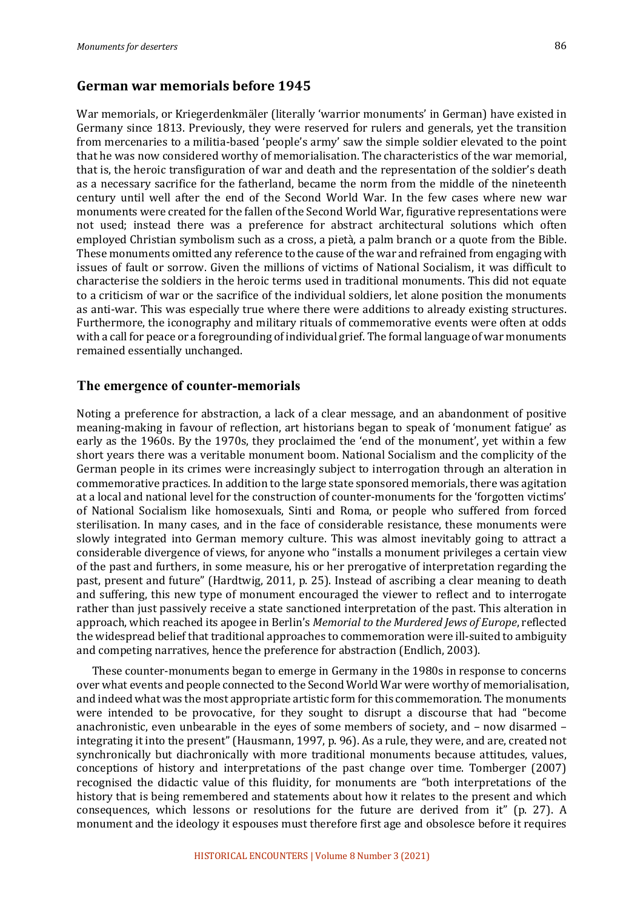#### **German war memorials before 1945**

War memorials, or Kriegerdenkmäler (literally 'warrior monuments' in German) have existed in Germany since 1813. Previously, they were reserved for rulers and generals, yet the transition from mercenaries to a militia-based 'people's army' saw the simple soldier elevated to the point that he was now considered worthy of memorialisation. The characteristics of the war memorial, that is, the heroic transfiguration of war and death and the representation of the soldier's death as a necessary sacrifice for the fatherland, became the norm from the middle of the nineteenth century until well after the end of the Second World War. In the few cases where new war monuments were created for the fallen of the Second World War, figurative representations were not used; instead there was a preference for abstract architectural solutions which often employed Christian symbolism such as a cross, a pietà, a palm branch or a quote from the Bible. These monuments omitted any reference to the cause of the war and refrained from engaging with issues of fault or sorrow. Given the millions of victims of National Socialism, it was difficult to characterise the soldiers in the heroic terms used in traditional monuments. This did not equate to a criticism of war or the sacrifice of the individual soldiers, let alone position the monuments as anti-war. This was especially true where there were additions to already existing structures. Furthermore, the iconography and military rituals of commemorative events were often at odds with a call for peace or a foregrounding of individual grief. The formal language of war monuments remained essentially unchanged.

#### **The emergence of counter-memorials**

Noting a preference for abstraction, a lack of a clear message, and an abandonment of positive meaning-making in favour of reflection, art historians began to speak of 'monument fatigue' as early as the 1960s. By the 1970s, they proclaimed the 'end of the monument', yet within a few short years there was a veritable monument boom. National Socialism and the complicity of the German people in its crimes were increasingly subject to interrogation through an alteration in commemorative practices. In addition to the large state sponsored memorials, there was agitation at a local and national level for the construction of counter-monuments for the 'forgotten victims' of National Socialism like homosexuals, Sinti and Roma, or people who suffered from forced sterilisation. In many cases, and in the face of considerable resistance, these monuments were slowly integrated into German memory culture. This was almost inevitably going to attract a considerable divergence of views, for anyone who "installs a monument privileges a certain view of the past and furthers, in some measure, his or her prerogative of interpretation regarding the past, present and future" (Hardtwig, 2011, p. 25). Instead of ascribing a clear meaning to death and suffering, this new type of monument encouraged the viewer to reflect and to interrogate rather than just passively receive a state sanctioned interpretation of the past. This alteration in approach, which reached its apogee in Berlin's *Memorial to the Murdered Jews of Europe*, reflected the widespread belief that traditional approaches to commemoration were ill-suited to ambiguity and competing narratives, hence the preference for abstraction (Endlich, 2003).

These counter-monuments began to emerge in Germany in the 1980s in response to concerns over what events and people connected to the Second World War were worthy of memorialisation, and indeed what was the most appropriate artistic form for this commemoration. The monuments were intended to be provocative, for they sought to disrupt a discourse that had "become anachronistic, even unbearable in the eyes of some members of society, and - now disarmed integrating it into the present" (Hausmann, 1997, p. 96). As a rule, they were, and are, created not synchronically but diachronically with more traditional monuments because attitudes, values, conceptions of history and interpretations of the past change over time. Tomberger (2007) recognised the didactic value of this fluidity, for monuments are "both interpretations of the history that is being remembered and statements about how it relates to the present and which consequences, which lessons or resolutions for the future are derived from it" (p. 27). A monument and the ideology it espouses must therefore first age and obsolesce before it requires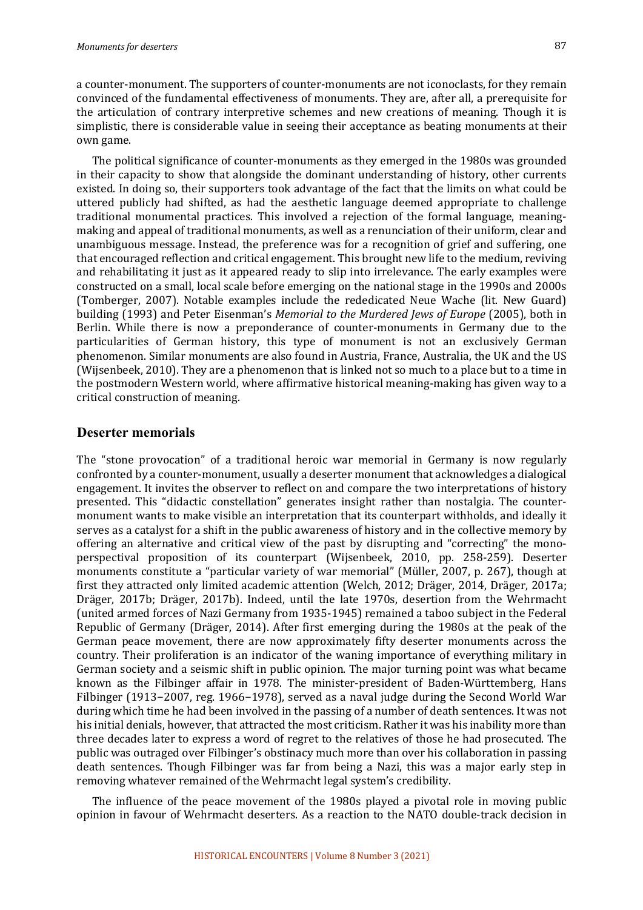a counter-monument. The supporters of counter-monuments are not iconoclasts, for they remain convinced of the fundamental effectiveness of monuments. They are, after all, a prerequisite for the articulation of contrary interpretive schemes and new creations of meaning. Though it is simplistic, there is considerable value in seeing their acceptance as beating monuments at their own game.

The political significance of counter-monuments as they emerged in the 1980s was grounded in their capacity to show that alongside the dominant understanding of history, other currents existed. In doing so, their supporters took advantage of the fact that the limits on what could be uttered publicly had shifted, as had the aesthetic language deemed appropriate to challenge traditional monumental practices. This involved a rejection of the formal language, meaningmaking and appeal of traditional monuments, as well as a renunciation of their uniform, clear and unambiguous message. Instead, the preference was for a recognition of grief and suffering, one that encouraged reflection and critical engagement. This brought new life to the medium, reviving and rehabilitating it just as it appeared ready to slip into irrelevance. The early examples were constructed on a small, local scale before emerging on the national stage in the 1990s and 2000s (Tomberger, 2007). Notable examples include the rededicated Neue Wache (lit. New Guard) building (1993) and Peter Eisenman's *Memorial to the Murdered lews of Europe* (2005), both in Berlin. While there is now a preponderance of counter-monuments in Germany due to the particularities of German history, this type of monument is not an exclusively German phenomenon. Similar monuments are also found in Austria, France, Australia, the UK and the US (Wijsenbeek, 2010). They are a phenomenon that is linked not so much to a place but to a time in the postmodern Western world, where affirmative historical meaning-making has given way to a critical construction of meaning.

#### **Deserter memorials**

The "stone provocation" of a traditional heroic war memorial in Germany is now regularly confronted by a counter-monument, usually a deserter monument that acknowledges a dialogical engagement. It invites the observer to reflect on and compare the two interpretations of history presented. This "didactic constellation" generates insight rather than nostalgia. The countermonument wants to make visible an interpretation that its counterpart withholds, and ideally it serves as a catalyst for a shift in the public awareness of history and in the collective memory by offering an alternative and critical view of the past by disrupting and "correcting" the monoperspectival proposition of its counterpart (Wijsenbeek, 2010, pp. 258-259). Deserter monuments constitute a "particular variety of war memorial" (Müller, 2007, p. 267), though at first they attracted only limited academic attention (Welch, 2012; Dräger, 2014, Dräger, 2017a; Dräger, 2017b; Dräger, 2017b). Indeed, until the late 1970s, desertion from the Wehrmacht (united armed forces of Nazi Germany from 1935-1945) remained a taboo subject in the Federal Republic of Germany (Dräger, 2014). After first emerging during the 1980s at the peak of the German peace movement, there are now approximately fifty deserter monuments across the country. Their proliferation is an indicator of the waning importance of everything military in German society and a seismic shift in public opinion. The major turning point was what became known as the Filbinger affair in 1978. The minister-president of Baden-Württemberg, Hans Filbinger (1913−2007, reg. 1966−1978), served as a naval judge during the Second World War during which time he had been involved in the passing of a number of death sentences. It was not his initial denials, however, that attracted the most criticism. Rather it was his inability more than three decades later to express a word of regret to the relatives of those he had prosecuted. The public was outraged over Filbinger's obstinacy much more than over his collaboration in passing death sentences. Though Filbinger was far from being a Nazi, this was a major early step in removing whatever remained of the Wehrmacht legal system's credibility.

The influence of the peace movement of the 1980s played a pivotal role in moving public opinion in favour of Wehrmacht deserters. As a reaction to the NATO double-track decision in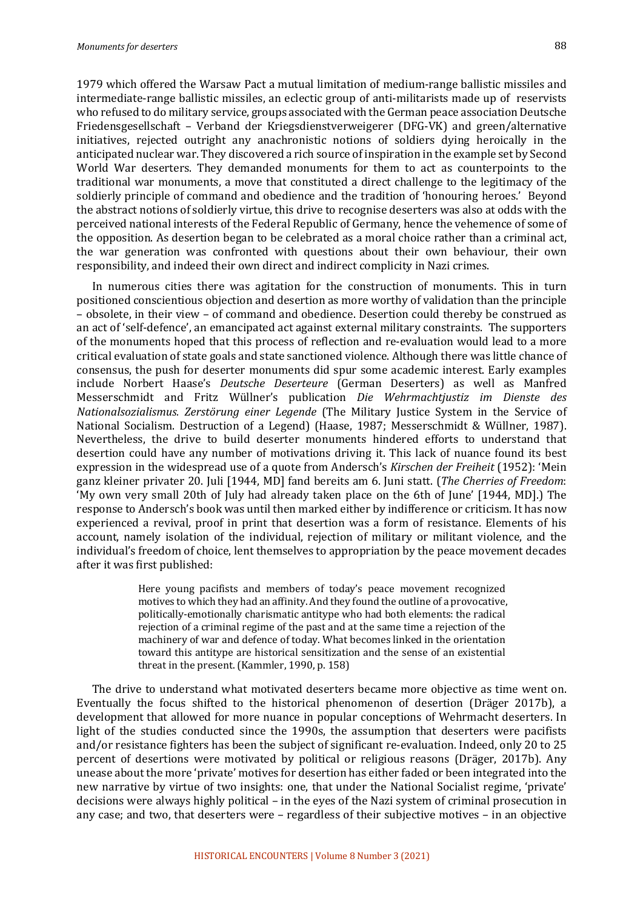1979 which offered the Warsaw Pact a mutual limitation of medium-range ballistic missiles and intermediate-range ballistic missiles, an eclectic group of anti-militarists made up of reservists who refused to do military service, groups associated with the German peace association Deutsche Friedensgesellschaft – Verband der Kriegsdienstverweigerer (DFG-VK) and green/alternative initiatives, rejected outright any anachronistic notions of soldiers dying heroically in the anticipated nuclear war. They discovered a rich source of inspiration in the example set by Second World War deserters. They demanded monuments for them to act as counterpoints to the traditional war monuments, a move that constituted a direct challenge to the legitimacy of the soldierly principle of command and obedience and the tradition of 'honouring heroes.' Beyond the abstract notions of soldierly virtue, this drive to recognise deserters was also at odds with the perceived national interests of the Federal Republic of Germany, hence the vehemence of some of the opposition. As desertion began to be celebrated as a moral choice rather than a criminal act, the war generation was confronted with questions about their own behaviour, their own responsibility, and indeed their own direct and indirect complicity in Nazi crimes.

In numerous cities there was agitation for the construction of monuments. This in turn positioned conscientious objection and desertion as more worthy of validation than the principle – obsolete, in their view – of command and obedience. Desertion could thereby be construed as an act of 'self-defence', an emancipated act against external military constraints. The supporters of the monuments hoped that this process of reflection and re-evaluation would lead to a more critical evaluation of state goals and state sanctioned violence. Although there was little chance of consensus, the push for deserter monuments did spur some academic interest. Early examples include Norbert Haase's *Deutsche Deserteure* (German Deserters) as well as Manfred Messerschmidt and Fritz Wüllner's publication *Die Wehrmachtjustiz im Dienste des Nationalsozialismus. Zerstörung einer Legende* (The Military Justice System in the Service of National Socialism. Destruction of a Legend) (Haase, 1987; Messerschmidt & Wüllner, 1987). Nevertheless, the drive to build deserter monuments hindered efforts to understand that desertion could have any number of motivations driving it. This lack of nuance found its best expression in the widespread use of a quote from Andersch's *Kirschen der Freiheit* (1952): 'Mein ganz kleiner privater 20. Juli [1944, MD] fand bereits am 6. Juni statt. (*The Cherries of Freedom*: 'My own very small 20th of July had already taken place on the 6th of June' [1944, MD].) The response to Andersch's book was until then marked either by indifference or criticism. It has now experienced a revival, proof in print that desertion was a form of resistance. Elements of his account, namely isolation of the individual, rejection of military or militant violence, and the individual's freedom of choice, lent themselves to appropriation by the peace movement decades after it was first published:

> Here young pacifists and members of today's peace movement recognized motives to which they had an affinity. And they found the outline of a provocative, politically-emotionally charismatic antitype who had both elements: the radical rejection of a criminal regime of the past and at the same time a rejection of the machinery of war and defence of today. What becomes linked in the orientation toward this antitype are historical sensitization and the sense of an existential threat in the present. (Kammler, 1990, p. 158)

The drive to understand what motivated deserters became more objective as time went on. Eventually the focus shifted to the historical phenomenon of desertion (Dräger 2017b), a development that allowed for more nuance in popular conceptions of Wehrmacht deserters. In light of the studies conducted since the 1990s, the assumption that deserters were pacifists and/or resistance fighters has been the subject of significant re-evaluation. Indeed, only 20 to 25 percent of desertions were motivated by political or religious reasons (Dräger, 2017b). Any unease about the more 'private' motives for desertion has either faded or been integrated into the new narrative by virtue of two insights: one, that under the National Socialist regime, 'private' decisions were always highly political – in the eyes of the Nazi system of criminal prosecution in any case; and two, that deserters were  $-$  regardless of their subjective motives  $-$  in an objective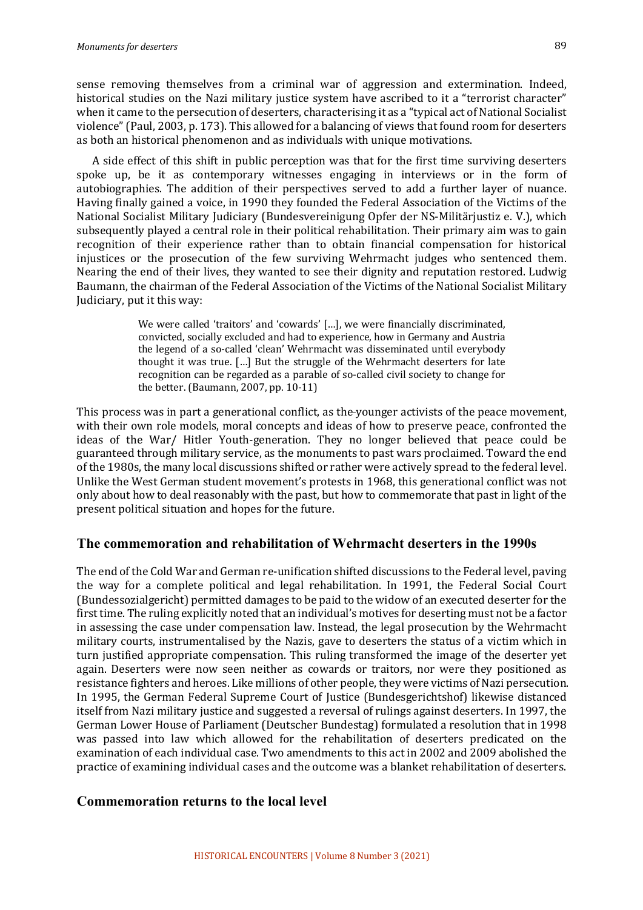sense removing themselves from a criminal war of aggression and extermination. Indeed, historical studies on the Nazi military justice system have ascribed to it a "terrorist character" when it came to the persecution of deserters, characterising it as a "typical act of National Socialist violence" (Paul, 2003, p. 173). This allowed for a balancing of views that found room for deserters as both an historical phenomenon and as individuals with unique motivations.

A side effect of this shift in public perception was that for the first time surviving deserters spoke up, be it as contemporary witnesses engaging in interviews or in the form of autobiographies. The addition of their perspectives served to add a further layer of nuance. Having finally gained a voice, in 1990 they founded the Federal Association of the Victims of the National Socialist Military Judiciary (Bundesvereinigung Opfer der NS-Militärjustiz e. V.), which subsequently played a central role in their political rehabilitation. Their primary aim was to gain recognition of their experience rather than to obtain financial compensation for historical injustices or the prosecution of the few surviving Wehrmacht judges who sentenced them. Nearing the end of their lives, they wanted to see their dignity and reputation restored. Ludwig Baumann, the chairman of the Federal Association of the Victims of the National Socialist Military Judiciary, put it this way:

> We were called 'traitors' and 'cowards' [...], we were financially discriminated, convicted, socially excluded and had to experience, how in Germany and Austria the legend of a so-called 'clean' Wehrmacht was disseminated until everybody thought it was true. [...] But the struggle of the Wehrmacht deserters for late recognition can be regarded as a parable of so-called civil society to change for the better. (Baumann,  $2007$ , pp.  $10-11$ )

This process was in part a generational conflict, as the younger activists of the peace movement, with their own role models, moral concepts and ideas of how to preserve peace, confronted the ideas of the War/ Hitler Youth-generation. They no longer believed that peace could be guaranteed through military service, as the monuments to past wars proclaimed. Toward the end of the 1980s, the many local discussions shifted or rather were actively spread to the federal level. Unlike the West German student movement's protests in 1968, this generational conflict was not only about how to deal reasonably with the past, but how to commemorate that past in light of the present political situation and hopes for the future.

## **The commemoration and rehabilitation of Wehrmacht deserters in the 1990s**

The end of the Cold War and German re-unification shifted discussions to the Federal level, paving the way for a complete political and legal rehabilitation. In 1991, the Federal Social Court (Bundessozialgericht) permitted damages to be paid to the widow of an executed deserter for the first time. The ruling explicitly noted that an individual's motives for deserting must not be a factor in assessing the case under compensation law. Instead, the legal prosecution by the Wehrmacht military courts, instrumentalised by the Nazis, gave to deserters the status of a victim which in turn justified appropriate compensation. This ruling transformed the image of the deserter yet again. Deserters were now seen neither as cowards or traitors, nor were they positioned as resistance fighters and heroes. Like millions of other people, they were victims of Nazi persecution. In 1995, the German Federal Supreme Court of Justice (Bundesgerichtshof) likewise distanced itself from Nazi military justice and suggested a reversal of rulings against deserters. In 1997, the German Lower House of Parliament (Deutscher Bundestag) formulated a resolution that in 1998 was passed into law which allowed for the rehabilitation of deserters predicated on the examination of each individual case. Two amendments to this act in 2002 and 2009 abolished the practice of examining individual cases and the outcome was a blanket rehabilitation of deserters.

## **Commemoration returns to the local level**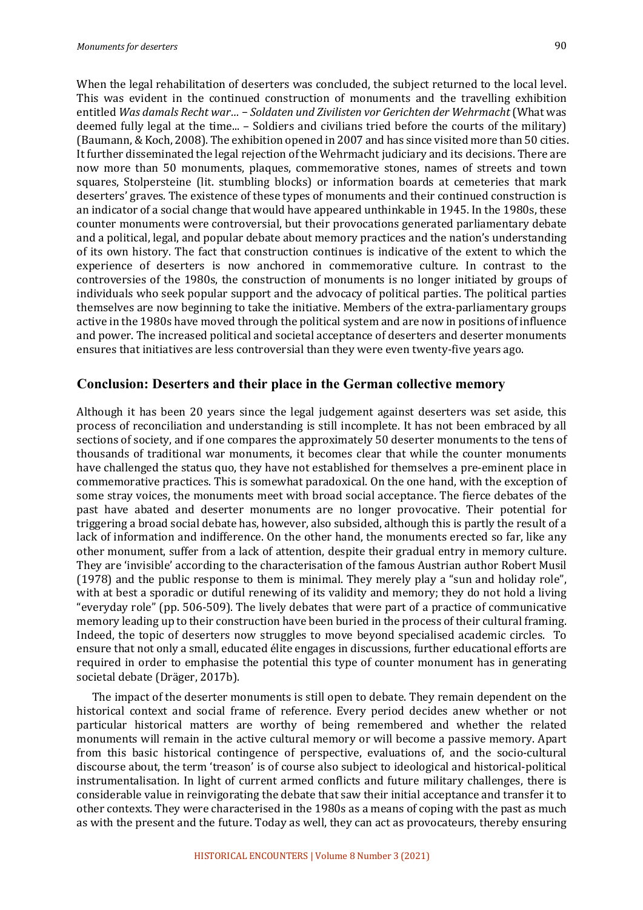When the legal rehabilitation of deserters was concluded, the subject returned to the local level. This was evident in the continued construction of monuments and the travelling exhibition entitled Was damals Recht war... - Soldaten und Zivilisten vor Gerichten der Wehrmacht (What was deemed fully legal at the time...  $-$  Soldiers and civilians tried before the courts of the military) (Baumann, & Koch, 2008). The exhibition opened in 2007 and has since visited more than 50 cities. It further disseminated the legal rejection of the Wehrmacht judiciary and its decisions. There are now more than 50 monuments, plaques, commemorative stones, names of streets and town squares, Stolpersteine (lit. stumbling blocks) or information boards at cemeteries that mark deserters' graves. The existence of these types of monuments and their continued construction is an indicator of a social change that would have appeared unthinkable in 1945. In the 1980s, these counter monuments were controversial, but their provocations generated parliamentary debate and a political, legal, and popular debate about memory practices and the nation's understanding of its own history. The fact that construction continues is indicative of the extent to which the experience of deserters is now anchored in commemorative culture. In contrast to the controversies of the 1980s, the construction of monuments is no longer initiated by groups of individuals who seek popular support and the advocacy of political parties. The political parties themselves are now beginning to take the initiative. Members of the extra-parliamentary groups active in the 1980s have moved through the political system and are now in positions of influence and power. The increased political and societal acceptance of deserters and deserter monuments ensures that initiatives are less controversial than they were even twenty-five years ago.

#### **Conclusion: Deserters and their place in the German collective memory**

Although it has been 20 years since the legal judgement against deserters was set aside, this process of reconciliation and understanding is still incomplete. It has not been embraced by all sections of society, and if one compares the approximately 50 deserter monuments to the tens of thousands of traditional war monuments, it becomes clear that while the counter monuments have challenged the status quo, they have not established for themselves a pre-eminent place in commemorative practices. This is somewhat paradoxical. On the one hand, with the exception of some stray voices, the monuments meet with broad social acceptance. The fierce debates of the past have abated and deserter monuments are no longer provocative. Their potential for triggering a broad social debate has, however, also subsided, although this is partly the result of a lack of information and indifference. On the other hand, the monuments erected so far, like any other monument, suffer from a lack of attention, despite their gradual entry in memory culture. They are 'invisible' according to the characterisation of the famous Austrian author Robert Musil (1978) and the public response to them is minimal. They merely play a "sun and holiday role", with at best a sporadic or dutiful renewing of its validity and memory; they do not hold a living "everyday role" (pp. 506-509). The lively debates that were part of a practice of communicative memory leading up to their construction have been buried in the process of their cultural framing. Indeed, the topic of deserters now struggles to move beyond specialised academic circles. To ensure that not only a small, educated élite engages in discussions, further educational efforts are required in order to emphasise the potential this type of counter monument has in generating societal debate (Dräger, 2017b).

The impact of the deserter monuments is still open to debate. They remain dependent on the historical context and social frame of reference. Every period decides anew whether or not particular historical matters are worthy of being remembered and whether the related monuments will remain in the active cultural memory or will become a passive memory. Apart from this basic historical contingence of perspective, evaluations of, and the socio-cultural discourse about, the term 'treason' is of course also subject to ideological and historical-political instrumentalisation. In light of current armed conflicts and future military challenges, there is considerable value in reinvigorating the debate that saw their initial acceptance and transfer it to other contexts. They were characterised in the 1980s as a means of coping with the past as much as with the present and the future. Today as well, they can act as provocateurs, thereby ensuring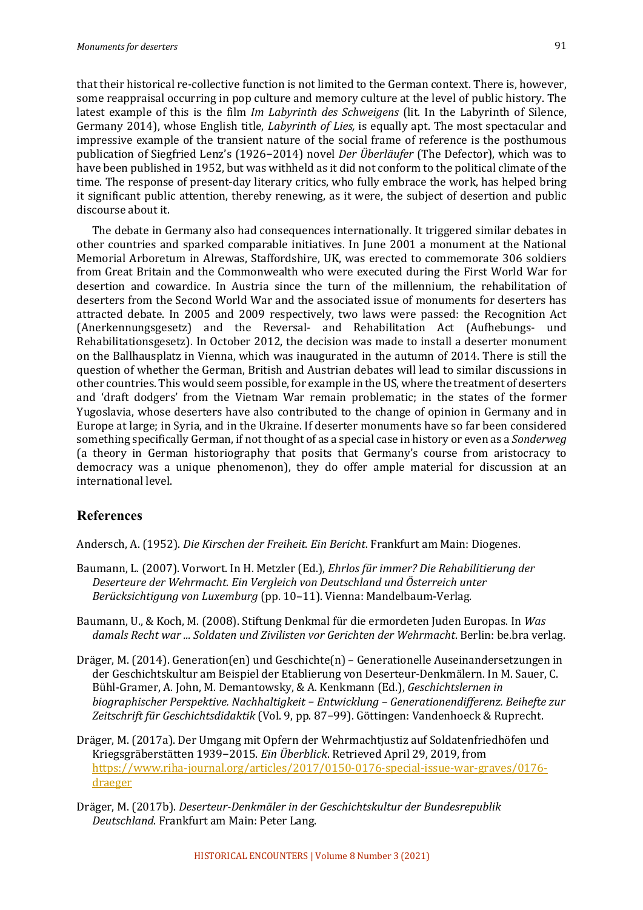that their historical re-collective function is not limited to the German context. There is, however, some reappraisal occurring in pop culture and memory culture at the level of public history. The latest example of this is the film *Im Labyrinth des Schweigens* (lit. In the Labyrinth of Silence, Germany 2014), whose English title, *Labyrinth of Lies*, is equally apt. The most spectacular and impressive example of the transient nature of the social frame of reference is the posthumous publication of Siegfried Lenz's (1926–2014) novel *Der Überläufer* (The Defector), which was to have been published in 1952, but was withheld as it did not conform to the political climate of the time. The response of present-day literary critics, who fully embrace the work, has helped bring it significant public attention, thereby renewing, as it were, the subject of desertion and public discourse about it.

The debate in Germany also had consequences internationally. It triggered similar debates in other countries and sparked comparable initiatives. In June 2001 a monument at the National Memorial Arboretum in Alrewas, Staffordshire, UK, was erected to commemorate 306 soldiers from Great Britain and the Commonwealth who were executed during the First World War for desertion and cowardice. In Austria since the turn of the millennium, the rehabilitation of deserters from the Second World War and the associated issue of monuments for deserters has attracted debate. In 2005 and 2009 respectively, two laws were passed: the Recognition Act (Anerkennungsgesetz) and the Reversal- and Rehabilitation Act (Aufhebungs- und Rehabilitationsgesetz). In October 2012, the decision was made to install a deserter monument on the Ballhausplatz in Vienna, which was inaugurated in the autumn of 2014. There is still the question of whether the German, British and Austrian debates will lead to similar discussions in other countries. This would seem possible, for example in the US, where the treatment of deserters and 'draft dodgers' from the Vietnam War remain problematic; in the states of the former Yugoslavia, whose deserters have also contributed to the change of opinion in Germany and in Europe at large; in Syria, and in the Ukraine. If deserter monuments have so far been considered something specifically German, if not thought of as a special case in history or even as a *Sonderweg* (a theory in German historiography that posits that Germany's course from aristocracy to democracy was a unique phenomenon), they do offer ample material for discussion at an international level.

# **References**

Andersch, A. (1952). *Die Kirschen der Freiheit. Ein Bericht*. Frankfurt am Main: Diogenes.

- Baumann, L. (2007). Vorwort. In H. Metzler (Ed.), *Ehrlos für immer? Die Rehabilitierung der* Deserteure der Wehrmacht. Ein Vergleich von Deutschland und Österreich unter Berücksichtigung von Luxemburg (pp. 10-11). Vienna: Mandelbaum-Verlag.
- Baumann, U., & Koch, M. (2008). Stiftung Denkmal für die ermordeten Juden Europas. In *Was* damals Recht war ... Soldaten und Zivilisten vor Gerichten der Wehrmacht. Berlin: be.bra verlag.
- Dräger, M. (2014). Generation(en) und Geschichte(n) Generationelle Auseinandersetzungen in der Geschichtskultur am Beispiel der Etablierung von Deserteur-Denkmälern. In M. Sauer, C. Bühl-Gramer, A. John, M. Demantowsky, & A. Kenkmann (Ed.), *Geschichtslernen in biographischer Perspektive. Nachhaltigkeit − Entwicklung – Generationendifferenz. Beihefte zur*  Zeitschrift für Geschichtsdidaktik (Vol. 9, pp. 87-99). Göttingen: Vandenhoeck & Ruprecht.
- Dräger, M. (2017a). Der Umgang mit Opfern der Wehrmachtjustiz auf Soldatenfriedhöfen und Kriegsgräberstätten 1939−2015. *Ein Überblick*. Retrieved April 29, 2019, from https://www.riha-journal.org/articles/2017/0150-0176-special-issue-war-graves/0176 draeger
- Dräger, M. (2017b). Deserteur-Denkmäler in der Geschichtskultur der Bundesrepublik **Deutschland.** Frankfurt am Main: Peter Lang.